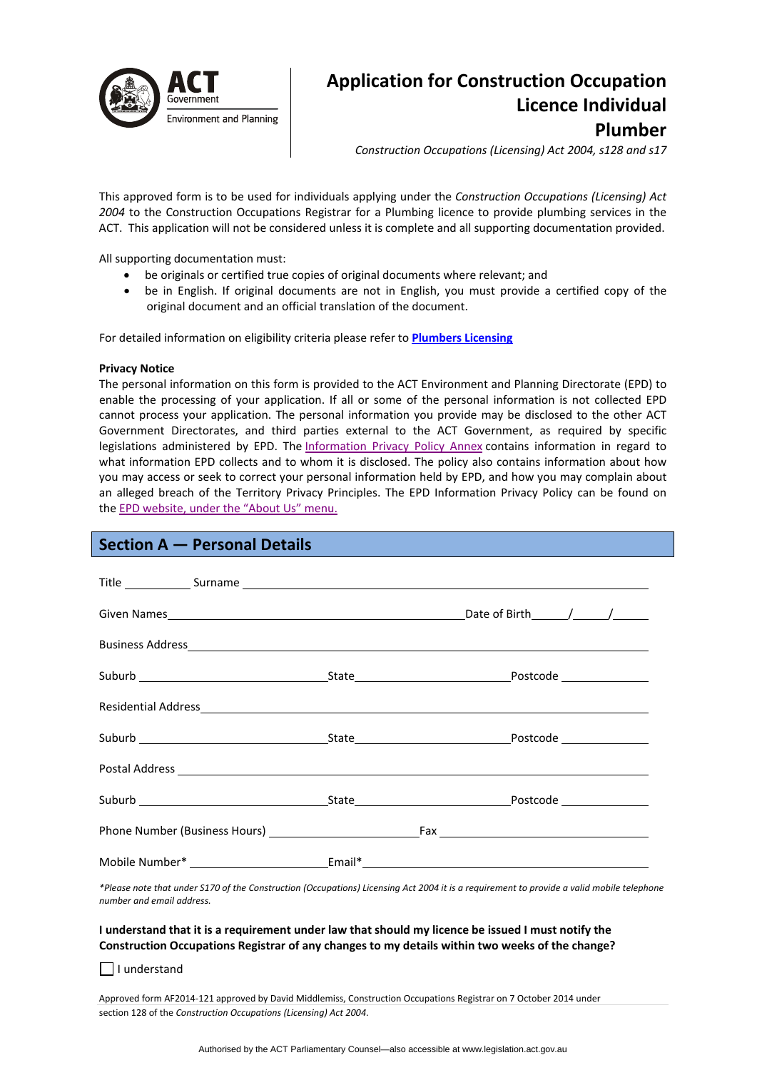

# **Application for Construction Occupation Licence Individual Plumber**

*Construction Occupations (Licensing) Act 2004, s128 and s17*

This approved form is to be used for individuals applying under the *Construction Occupations (Licensing) Act 2004* to the Construction Occupations Registrar for a Plumbing licence to provide plumbing services in the ACT. This application will not be considered unless it is complete and all supporting documentation provided.

All supporting documentation must:

- be originals or certified true copies of original documents where relevant; and
- be in English. If original documents are not in English, you must provide a certified copy of the original document and an official translation of the document.

For detailed information on eligibility criteria please refer to **[Plumbers](http://www.actpla.act.gov.au/topics/hiring_licensing/licence_registration/plumbers_drainers) Licensing**

## **Privacy Notice**

The personal information on this form is provided to the ACT Environment and Planning Directorate (EPD) to enable the processing of your application. If all or some of the personal information is not collected EPD cannot process your application. The personal information you provide may be disclosed to the other ACT Government Directorates, and third parties external to the ACT Government, as required by specific legislations administered by EPD. The [Information](http://www.environment.act.gov.au/__data/assets/pdf_file/0006/633741/Information-Privacy-Policy-Annex.pdf) Privacy Policy Annex contains information in regard to what information EPD collects and to whom it is disclosed. The policy also contains information about how you may access or seek to correct your personal information held by EPD, and how you may complain about an alleged breach of the Territory Privacy Principles. The EPD Information Privacy Policy can be found on the EPD [website,](http://www.environment.act.gov.au/about/privacy) under the "About Us" menu.

# **Section A — Personal Details**

|  | Residential Address experience and the contract of the contract of the contract of the contract of the contract of the contract of the contract of the contract of the contract of the contract of the contract of the contrac |
|--|--------------------------------------------------------------------------------------------------------------------------------------------------------------------------------------------------------------------------------|
|  |                                                                                                                                                                                                                                |
|  |                                                                                                                                                                                                                                |
|  |                                                                                                                                                                                                                                |
|  |                                                                                                                                                                                                                                |
|  |                                                                                                                                                                                                                                |

\*Please note that under S170 of the Construction (Occupations) Licensing Act 2004 it is a requirement to provide a valid mobile telephone *number and email address.* 

## I understand that it is a requirement under law that should my licence be issued I must notify the **Construction Occupations Registrar of any changes to my details within two weeks of the change?**

 $\Box$  I understand

Approved form AF2014‐121 approved by David Middlemiss, Construction Occupations Registrar on 7 October 2014 under section 128 of the *Construction Occupations (Licensing) Act 2004*.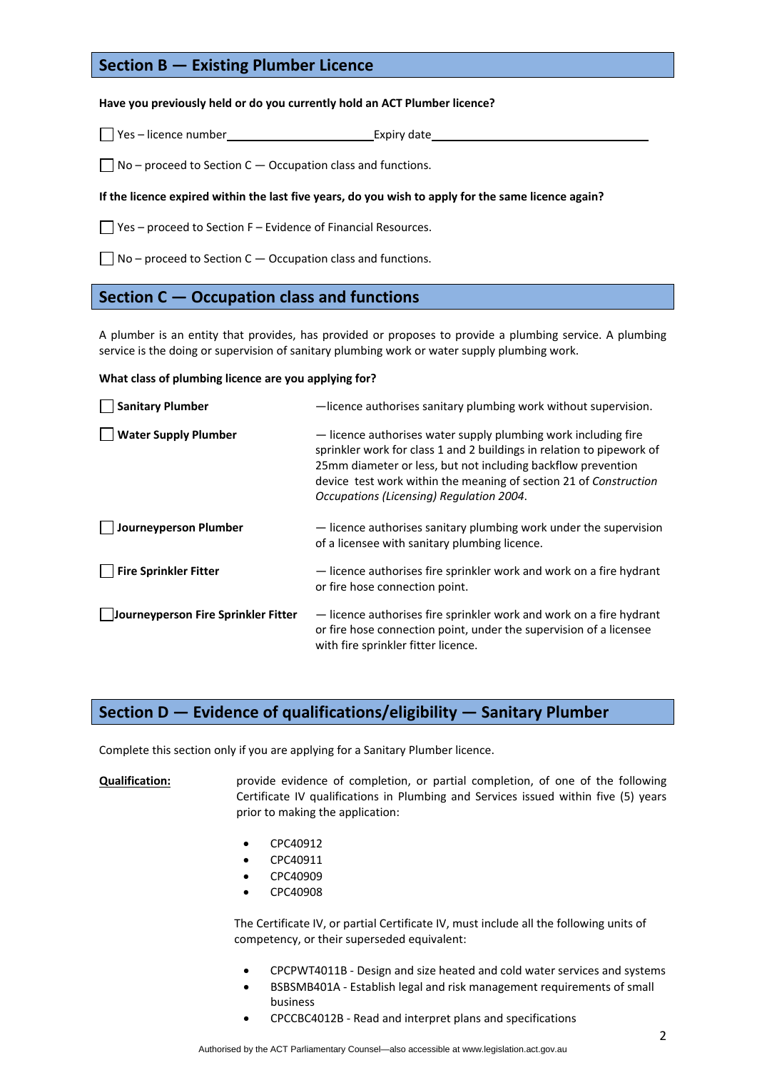# **Section B — Existing Plumber Licence**

## **Have you previously held or do you currently hold an ACT Plumber licence?**

Yes – licence number Expiry date

 $\Box$  No – proceed to Section C – Occupation class and functions.

## If the licence expired within the last five years, do you wish to apply for the same licence again?

 $\Box$  Yes – proceed to Section F – Evidence of Financial Resources.

 $\Box$  No – proceed to Section C – Occupation class and functions.

## **Section C — Occupation class and functions**

A plumber is an entity that provides, has provided or proposes to provide a plumbing service. A plumbing service is the doing or supervision of sanitary plumbing work or water supply plumbing work.

## **What class of plumbing licence are you applying for?**

| <b>Sanitary Plumber</b>             | -licence authorises sanitary plumbing work without supervision.                                                                                                                                                                                                                                                          |
|-------------------------------------|--------------------------------------------------------------------------------------------------------------------------------------------------------------------------------------------------------------------------------------------------------------------------------------------------------------------------|
| <b>Water Supply Plumber</b>         | - licence authorises water supply plumbing work including fire<br>sprinkler work for class 1 and 2 buildings in relation to pipework of<br>25mm diameter or less, but not including backflow prevention<br>device test work within the meaning of section 21 of Construction<br>Occupations (Licensing) Regulation 2004. |
| J Journeyperson Plumber             | - licence authorises sanitary plumbing work under the supervision<br>of a licensee with sanitary plumbing licence.                                                                                                                                                                                                       |
| <b>Fire Sprinkler Fitter</b>        | - licence authorises fire sprinkler work and work on a fire hydrant<br>or fire hose connection point.                                                                                                                                                                                                                    |
| Journeyperson Fire Sprinkler Fitter | - licence authorises fire sprinkler work and work on a fire hydrant<br>or fire hose connection point, under the supervision of a licensee<br>with fire sprinkler fitter licence.                                                                                                                                         |

# **Section D — Evidence of qualifications/eligibility — Sanitary Plumber**

Complete this section only if you are applying for a Sanitary Plumber licence.

**Qualification:** provide evidence of completion, or partial completion, of one of the following Certificate IV qualifications in Plumbing and Services issued within five (5) years prior to making the application:

- CPC40912
- CPC40911
- CPC40909
- CPC40908

The Certificate IV, or partial Certificate IV, must include all the following units of competency, or their superseded equivalent:

- CPCPWT4011B ‐ Design and size heated and cold water services and systems
- BSBSMB401A ‐ Establish legal and risk management requirements of small business
- CPCCBC4012B ‐ Read and interpret plans and specifications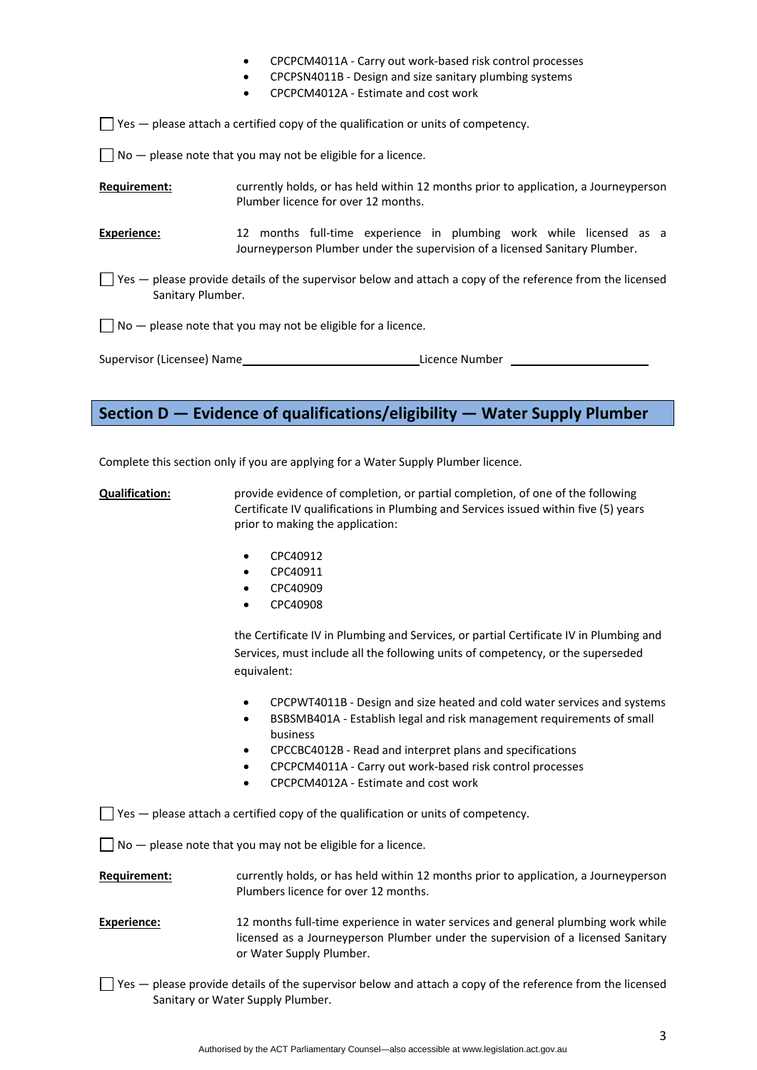- CPCPCM4011A ‐ Carry out work‐based risk control processes
- CPCPSN4011B ‐ Design and size sanitary plumbing systems
- CPCPCM4012A ‐ Estimate and cost work

 $\Box$  Yes  $-$  please attach a certified copy of the qualification or units of competency.

 $\Box$  No  $-$  please note that you may not be eligible for a licence.

**Requirement:** currently holds, or has held within 12 months prior to application, a Journeyperson Plumber licence for over 12 months.

**Experience:** 12 months full-time experience in plumbing work while licensed as a Journeyperson Plumber under the supervision of a licensed Sanitary Plumber.

 $\Box$  Yes — please provide details of the supervisor below and attach a copy of the reference from the licensed Sanitary Plumber.

 $\Box$  No  $-$  please note that you may not be eligible for a licence.

| Supervisor (Licensee) Name | Licence Number |
|----------------------------|----------------|
|                            |                |

# **Section D — Evidence of qualifications/eligibility — Water Supply Plumber**

Complete this section only if you are applying for a Water Supply Plumber licence.

- **Qualification:** provide evidence of completion, or partial completion, of one of the following Certificate IV qualifications in Plumbing and Services issued within five (5) years prior to making the application:
	- CPC40912
	- CPC40911
	- CPC40909
	- CPC40908

the Certificate IV in Plumbing and Services, or partial Certificate IV in Plumbing and Services, must include all the following units of competency, or the superseded equivalent:

- CPCPWT4011B ‐ Design and size heated and cold water services and systems
- BSBSMB401A ‐ Establish legal and risk management requirements of small business
- CPCCBC4012B ‐ Read and interpret plans and specifications
- CPCPCM4011A ‐ Carry out work‐based risk control processes
- CPCPCM4012A ‐ Estimate and cost work

 $\Box$  Yes  $-$  please attach a certified copy of the qualification or units of competency.

 $\Box$  No  $-$  please note that you may not be eligible for a licence.

**Requirement:** currently holds, or has held within 12 months prior to application, a Journeyperson Plumbers licence for over 12 months.

- **Experience:** 12 months full-time experience in water services and general plumbing work while licensed as a Journeyperson Plumber under the supervision of a licensed Sanitary or Water Supply Plumber.
- $\vert \ \vert$  Yes please provide details of the supervisor below and attach a copy of the reference from the licensed Sanitary or Water Supply Plumber.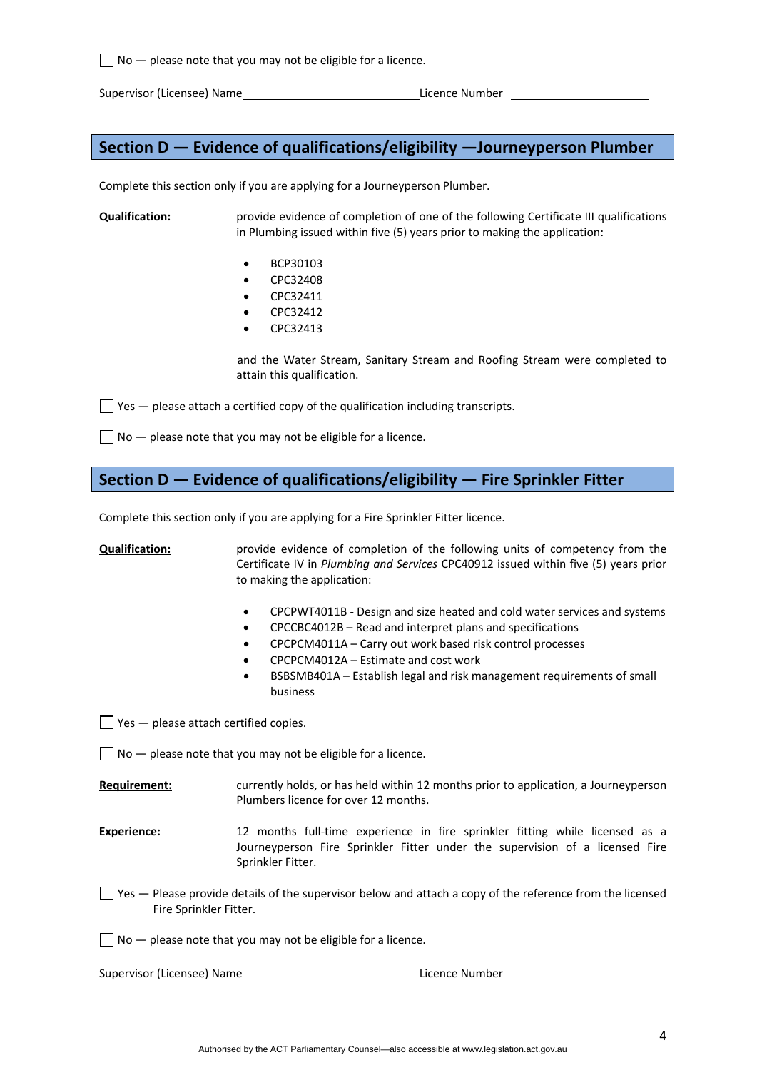$\Box$  No  $-$  please note that you may not be eligible for a licence.

Supervisor (Licensee) Name Licence Number

# **Section D — Evidence of qualifications/eligibility —Journeyperson Plumber**

Complete this section only if you are applying for a Journeyperson Plumber.

**Qualification:** provide evidence of completion of one of the following Certificate III qualifications in Plumbing issued within five (5) years prior to making the application:

- BCP30103
- CPC32408
- CPC32411
- CPC32412
- CPC32413

and the Water Stream, Sanitary Stream and Roofing Stream were completed to attain this qualification.

 $\Box$  Yes  $-$  please attach a certified copy of the qualification including transcripts.

 $\Box$  No  $-$  please note that you may not be eligible for a licence.

# **Section D — Evidence of qualifications/eligibility — Fire Sprinkler Fitter**

Complete this section only if you are applying for a Fire Sprinkler Fitter licence.

**Qualification:** provide evidence of completion of the following units of competency from the Certificate IV in *Plumbing and Services* CPC40912 issued within five (5) years prior to making the application:

- CPCPWT4011B ‐ Design and size heated and cold water services and systems
- CPCCBC4012B Read and interpret plans and specifications
- CPCPCM4011A Carry out work based risk control processes
- CPCPCM4012A Estimate and cost work
- BSBSMB401A Establish legal and risk management requirements of small business

 $\Box$  Yes  $-$  please attach certified copies.

 $\Box$  No  $-$  please note that you may not be eligible for a licence.

- **Requirement:** currently holds, or has held within 12 months prior to application, a Journeyperson Plumbers licence for over 12 months.
- **Experience:** 12 months full-time experience in fire sprinkler fitting while licensed as a Journeyperson Fire Sprinkler Fitter under the supervision of a licensed Fire Sprinkler Fitter.
- $\Box$  Yes  $-$  Please provide details of the supervisor below and attach a copy of the reference from the licensed Fire Sprinkler Fitter.

 $\Box$  No  $-$  please note that you may not be eligible for a licence.

Supervisor (Licensee) Name Licence Number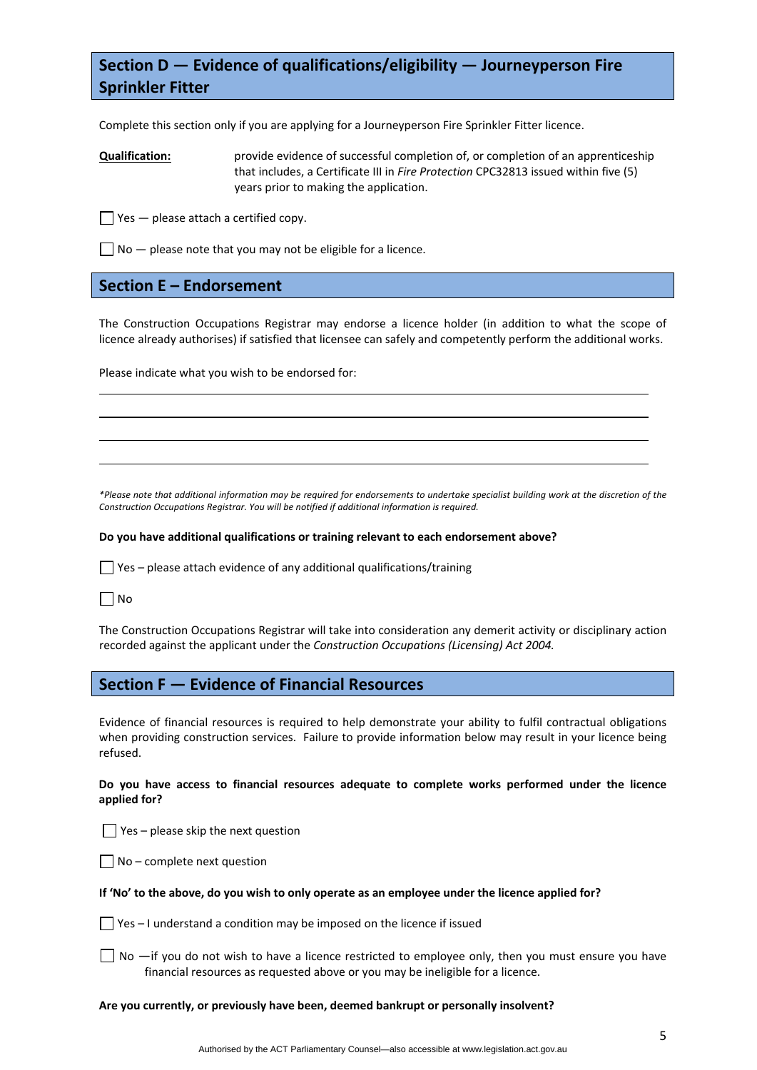# **Section D — Evidence of qualifications/eligibility — Journeyperson Fire Sprinkler Fitter**

Complete this section only if you are applying for a Journeyperson Fire Sprinkler Fitter licence.

**Qualification:** provide evidence of successful completion of, or completion of an apprenticeship that includes, a Certificate III in *Fire Protection* CPC32813 issued within five (5) years prior to making the application.

 $\Box$  Yes — please attach a certified copy.

 $\Box$  No  $-$  please note that you may not be eligible for a licence.

# **Section E – Endorsement**

The Construction Occupations Registrar may endorse a licence holder (in addition to what the scope of licence already authorises) if satisfied that licensee can safely and competently perform the additional works.

<u> 1989 - Johann Stoff, amerikansk politiker (d. 1989)</u> <u> 1989 - Johann Barbara, martxa alemaniar argametra (h. 1989).</u>

<u> 1989 - Johann Barbara, martxa alemaniar argametra (h. 1989).</u>

Please indicate what you wish to be endorsed for:

\*Please note that additional information may be required for endorsements to undertake specialist building work at the discretion of the *Construction Occupations Registrar. You will be notified if additional information is required.* 

## **Do you have additional qualifications or training relevant to each endorsement above?**

 $\Box$  Yes – please attach evidence of any additional qualifications/training

 $\Box$  No

The Construction Occupations Registrar will take into consideration any demerit activity or disciplinary action recorded against the applicant under the *Construction Occupations (Licensing) Act 2004.*

# **Section F — Evidence of Financial Resources**

Evidence of financial resources is required to help demonstrate your ability to fulfil contractual obligations when providing construction services. Failure to provide information below may result in your licence being refused.

**Do you have access to financial resources adequate to complete works performed under the licence applied for?** 

 $\Box$  Yes – please skip the next question

 $\Box$  No – complete next question

## If 'No' to the above, do you wish to only operate as an employee under the licence applied for?

 $\Box$  Yes – I understand a condition may be imposed on the licence if issued

 $\Box$  No  $\Box$  you do not wish to have a licence restricted to employee only, then you must ensure you have financial resources as requested above or you may be ineligible for a licence.

## **Are you currently, or previously have been, deemed bankrupt or personally insolvent?**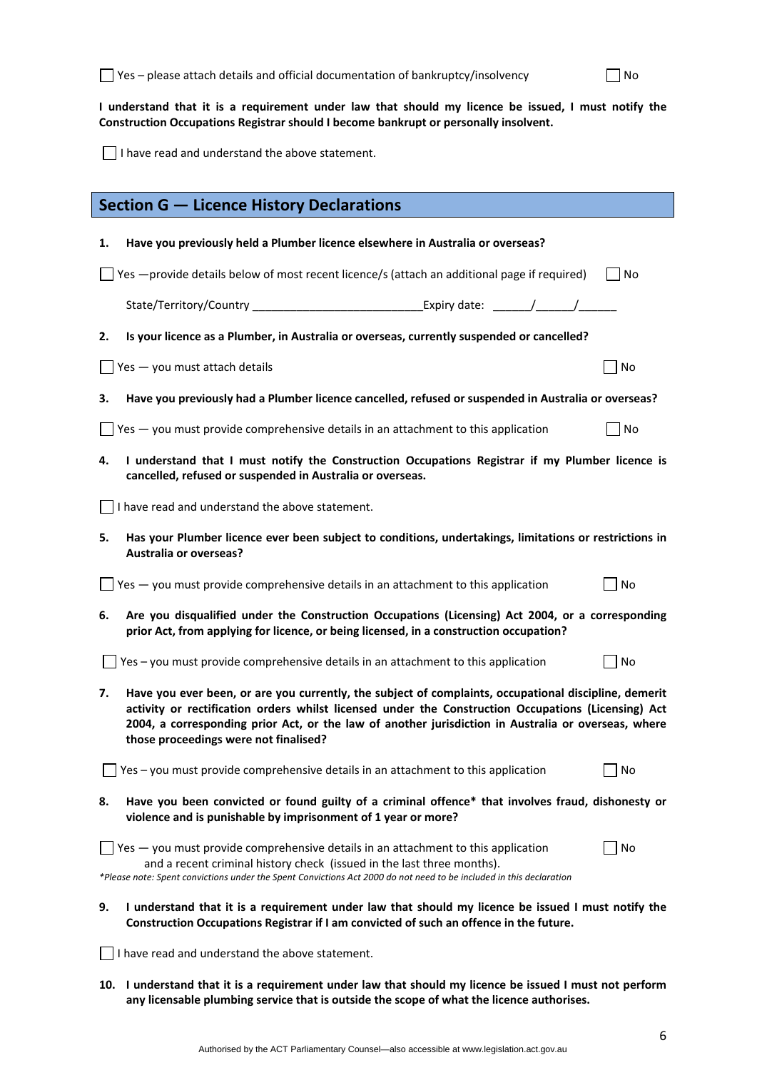I understand that it is a requirement under law that should my licence be issued, I must notify the **Construction Occupations Registrar should I become bankrupt or personally insolvent.** 

I have read and understand the above statement.

|                                                                                                                                                                                                  | <b>Section G - Licence History Declarations</b>                                                                                                                                                                                                                                                                                                              |                |  |  |  |
|--------------------------------------------------------------------------------------------------------------------------------------------------------------------------------------------------|--------------------------------------------------------------------------------------------------------------------------------------------------------------------------------------------------------------------------------------------------------------------------------------------------------------------------------------------------------------|----------------|--|--|--|
| 1.                                                                                                                                                                                               | Have you previously held a Plumber licence elsewhere in Australia or overseas?                                                                                                                                                                                                                                                                               |                |  |  |  |
|                                                                                                                                                                                                  | Yes - provide details below of most recent licence/s (attach an additional page if required)                                                                                                                                                                                                                                                                 | l INo          |  |  |  |
|                                                                                                                                                                                                  | State/Territory/Country __________________________________Expiry date: _______/_______/                                                                                                                                                                                                                                                                      |                |  |  |  |
| 2.                                                                                                                                                                                               | Is your licence as a Plumber, in Australia or overseas, currently suspended or cancelled?                                                                                                                                                                                                                                                                    |                |  |  |  |
|                                                                                                                                                                                                  | Yes - you must attach details                                                                                                                                                                                                                                                                                                                                | No             |  |  |  |
| з.                                                                                                                                                                                               | Have you previously had a Plumber licence cancelled, refused or suspended in Australia or overseas?                                                                                                                                                                                                                                                          |                |  |  |  |
|                                                                                                                                                                                                  | Yes - you must provide comprehensive details in an attachment to this application                                                                                                                                                                                                                                                                            | N <sub>O</sub> |  |  |  |
| 4.                                                                                                                                                                                               | I understand that I must notify the Construction Occupations Registrar if my Plumber licence is<br>cancelled, refused or suspended in Australia or overseas.                                                                                                                                                                                                 |                |  |  |  |
|                                                                                                                                                                                                  | I have read and understand the above statement.                                                                                                                                                                                                                                                                                                              |                |  |  |  |
| Has your Plumber licence ever been subject to conditions, undertakings, limitations or restrictions in<br>5.<br><b>Australia or overseas?</b>                                                    |                                                                                                                                                                                                                                                                                                                                                              |                |  |  |  |
|                                                                                                                                                                                                  | Yes - you must provide comprehensive details in an attachment to this application                                                                                                                                                                                                                                                                            | No             |  |  |  |
| Are you disqualified under the Construction Occupations (Licensing) Act 2004, or a corresponding<br>6.<br>prior Act, from applying for licence, or being licensed, in a construction occupation? |                                                                                                                                                                                                                                                                                                                                                              |                |  |  |  |
|                                                                                                                                                                                                  | Yes - you must provide comprehensive details in an attachment to this application                                                                                                                                                                                                                                                                            | No             |  |  |  |
| 7.                                                                                                                                                                                               | Have you ever been, or are you currently, the subject of complaints, occupational discipline, demerit<br>activity or rectification orders whilst licensed under the Construction Occupations (Licensing) Act<br>2004, a corresponding prior Act, or the law of another jurisdiction in Australia or overseas, where<br>those proceedings were not finalised? |                |  |  |  |
|                                                                                                                                                                                                  | Yes - you must provide comprehensive details in an attachment to this application                                                                                                                                                                                                                                                                            | No             |  |  |  |
| Have you been convicted or found guilty of a criminal offence* that involves fraud, dishonesty or<br>8.<br>violence and is punishable by imprisonment of 1 year or more?                         |                                                                                                                                                                                                                                                                                                                                                              |                |  |  |  |
|                                                                                                                                                                                                  | Yes - you must provide comprehensive details in an attachment to this application<br>and a recent criminal history check (issued in the last three months).<br>*Please note: Spent convictions under the Spent Convictions Act 2000 do not need to be included in this declaration                                                                           | No             |  |  |  |
| 9.                                                                                                                                                                                               | I understand that it is a requirement under law that should my licence be issued I must notify the<br>Construction Occupations Registrar if I am convicted of such an offence in the future.                                                                                                                                                                 |                |  |  |  |
|                                                                                                                                                                                                  | I have read and understand the above statement.                                                                                                                                                                                                                                                                                                              |                |  |  |  |

10. I understand that it is a requirement under law that should my licence be issued I must not perform **any licensable plumbing service that is outside the scope of what the licence authorises.**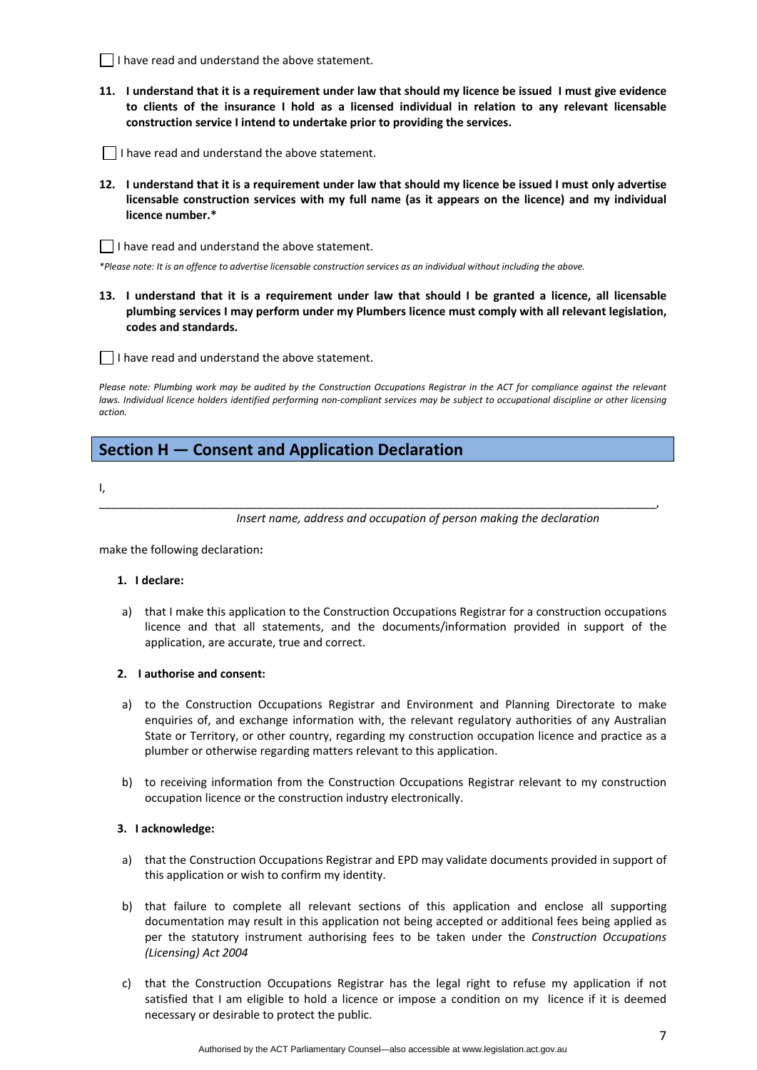- $\Box$  I have read and understand the above statement.
- 11. I understand that it is a requirement under law that should my licence be issued I must give evidence **to clients of the insurance I hold as a licensed individual in relation to any relevant licensable construction service I intend to undertake prior to providing the services.**
- $\Box$  I have read and understand the above statement.
- 12. I understand that it is a requirement under law that should my licence be issued I must only advertise **licensable construction services with my full name (as it appears on the licence) and my individual licence number.\***

 $\Box$  I have read and understand the above statement.

\*Please note: It is an offence to advertise licensable construction services as an individual without including the above.

13. I understand that it is a requirement under law that should I be granted a licence, all licensable **plumbing services I may perform under my Plumbers licence must comply with all relevant legislation, codes and standards.** 

 $\Box$  I have read and understand the above statement.

Please note: Plumbing work may be audited by the Construction Occupations Registrar in the ACT for compliance against the relevant laws. Individual licence holders identified performing non-compliant services may be subject to occupational discipline or other licensing *action.*

\_\_\_\_\_\_\_\_\_\_\_\_\_\_\_\_\_\_\_\_\_\_\_\_\_\_\_\_\_\_\_\_\_\_\_\_\_\_\_\_\_\_\_\_\_\_\_\_\_\_\_\_\_\_\_\_\_\_\_\_\_\_\_\_\_\_\_\_\_\_\_\_\_\_\_\_\_\_\_\_\_\_\_\_\_\_\_\_,

# **Section H — Consent and Application Declaration**

I,

*Insert name, address and occupation of person making the declaration*

make the following declaration**:**

## **1. I declare:**

a) that I make this application to the Construction Occupations Registrar for a construction occupations licence and that all statements, and the documents/information provided in support of the application, are accurate, true and correct.

#### **2. I authorise and consent:**

- a) to the Construction Occupations Registrar and Environment and Planning Directorate to make enquiries of, and exchange information with, the relevant regulatory authorities of any Australian State or Territory, or other country, regarding my construction occupation licence and practice as a plumber or otherwise regarding matters relevant to this application.
- b) to receiving information from the Construction Occupations Registrar relevant to my construction occupation licence or the construction industry electronically.

## **3. I acknowledge:**

- a) that the Construction Occupations Registrar and EPD may validate documents provided in support of this application or wish to confirm my identity.
- b) that failure to complete all relevant sections of this application and enclose all supporting documentation may result in this application not being accepted or additional fees being applied as per the statutory instrument authorising fees to be taken under the *Construction Occupations (Licensing) Act 2004*
- c) that the Construction Occupations Registrar has the legal right to refuse my application if not satisfied that I am eligible to hold a licence or impose a condition on my licence if it is deemed necessary or desirable to protect the public.